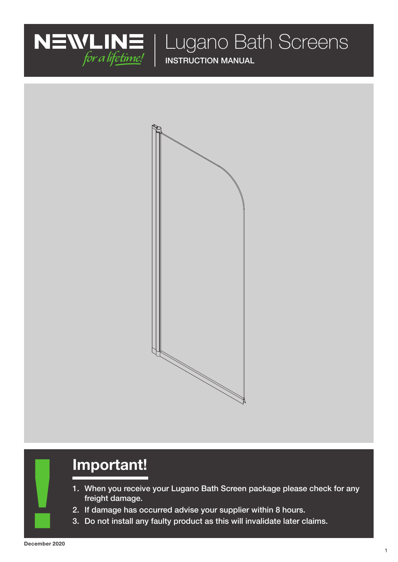

Lugano Bath Screens

INSTRUCTION MANUAL



# Important!

- 1. When you receive your Lugano Bath Screen package please check for any freight damage.
- 2. If damage has occurred advise your supplier within 8 hours.
- 3. Do not install any faulty product as this will invalidate later claims.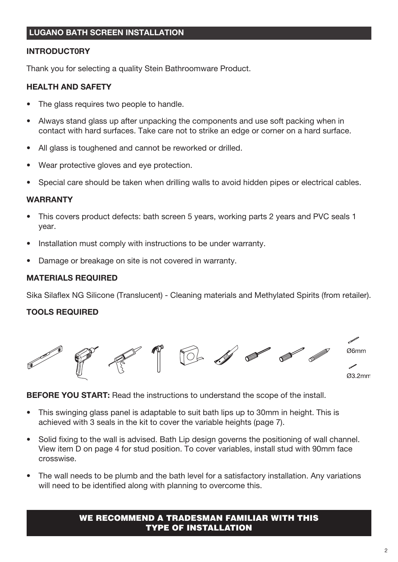# INTRODUCT0RY

Thank you for selecting a quality Stein Bathroomware Product.

#### HEALTH AND SAFETY

- The glass requires two people to handle.
- Always stand glass up after unpacking the components and use soft packing when in contact with hard surfaces. Take care not to strike an edge or corner on a hard surface.
- All glass is toughened and cannot be reworked or drilled.
- Wear protective gloves and eye protection.
- Special care should be taken when drilling walls to avoid hidden pipes or electrical cables.

#### **WARRANTY**

- This covers product defects: bath screen 5 years, working parts 2 years and PVC seals 1 year.
- Installation must comply with instructions to be under warranty.
- Damage or breakage on site is not covered in warranty.

## MATERIALS REQUIRED

Sika Silaflex NG Silicone (Translucent) - Cleaning materials and Methylated Spirits (from retailer).

## TOOLS REQUIRED



**BEFORE YOU START:** Read the instructions to understand the scope of the install.

- This swinging glass panel is adaptable to suit bath lips up to 30mm in height. This is achieved with 3 seals in the kit to cover the variable heights (page 7).
- Solid fixing to the wall is advised. Bath Lip design governs the positioning of wall channel. View item D on page 4 for stud position. To cover variables, install stud with 90mm face crosswise.
- The wall needs to be plumb and the bath level for a satisfactory installation. Any variations will need to be identified along with planning to overcome this.

#### WE RECOMMEND A TRADESMAN FAMILIAR WITH THIS TYPE OF INSTALLATION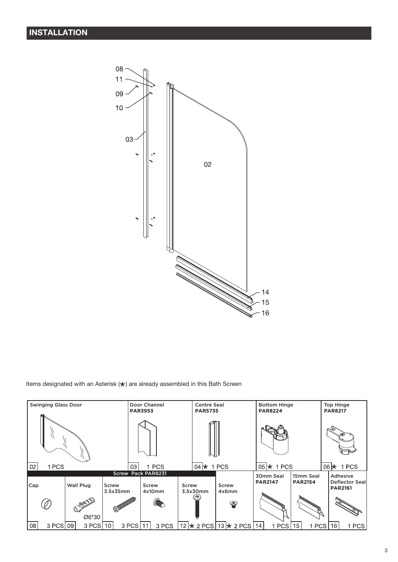

Items designated with an Asterisk  $(\bigstar)$  are already assembled in this Bath Screen

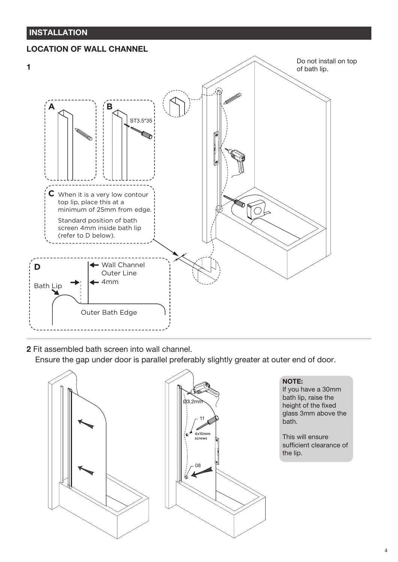# INSTALLATION

# LOCATION OF WALL CHANNEL



2 Fit assembled bath screen into wall channel.

Ensure the gap under door is parallel preferably slightly greater at outer end of door.



#### NOTE:

If you have a 30mm bath lip, raise the height of the fixed glass 3mm above the bath.

This will ensure sufficient clearance of the lip.